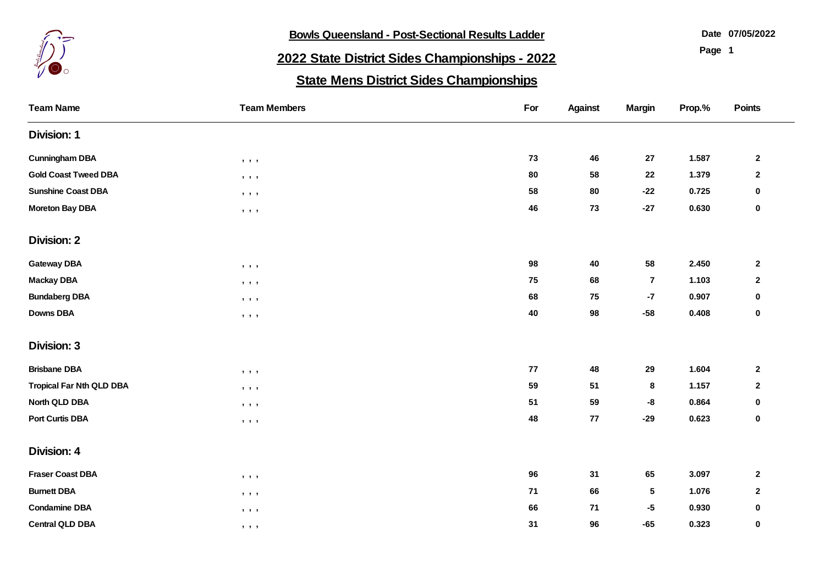

**Bowls Queensland - Post-Sectional Results Ladder** 

**07/05/2022**

**Page 1**

## **2022 State District Sides Championships - 2022**

## **State Mens District Sides Championships**

| <b>Team Name</b>                | <b>Team Members</b>                                          | For  | <b>Against</b> | <b>Margin</b>   | Prop.% | Points                  |
|---------------------------------|--------------------------------------------------------------|------|----------------|-----------------|--------|-------------------------|
| <b>Division: 1</b>              |                                                              |      |                |                 |        |                         |
| <b>Cunningham DBA</b>           | $\mathbf{y}=\mathbf{y}=\mathbf{y}$                           | 73   | 46             | 27              | 1.587  | $\overline{\mathbf{2}}$ |
| <b>Gold Coast Tweed DBA</b>     | $\qquad \qquad \bullet \qquad \bullet$                       | 80   | 58             | 22              | 1.379  | $\mathbf 2$             |
| <b>Sunshine Coast DBA</b>       | $\begin{array}{ccc} \bullet & \bullet & \bullet \end{array}$ | 58   | 80             | $-22$           | 0.725  | 0                       |
| <b>Moreton Bay DBA</b>          | $, \quad , \quad$                                            | 46   | 73             | $-27$           | 0.630  | $\mathbf 0$             |
| <b>Division: 2</b>              |                                                              |      |                |                 |        |                         |
| <b>Gateway DBA</b>              | $\qquad \qquad \bullet \qquad \bullet$                       | 98   | 40             | 58              | 2.450  | $\overline{\mathbf{2}}$ |
| <b>Mackay DBA</b>               | $, \quad , \quad$                                            | 75   | 68             | $\overline{7}$  | 1.103  | $\mathbf{2}$            |
| <b>Bundaberg DBA</b>            | $\,$ , $\,$ , $\,$ ,                                         | 68   | 75             | $-7$            | 0.907  | 0                       |
| <b>Downs DBA</b>                | $\qquad \qquad \bullet \quad \bullet \quad \bullet$          | 40   | 98             | $-58$           | 0.408  | $\pmb{0}$               |
| <b>Division: 3</b>              |                                                              |      |                |                 |        |                         |
| <b>Brisbane DBA</b>             | $, \quad , \quad$                                            | 77   | 48             | 29              | 1.604  | $\mathbf{2}$            |
| <b>Tropical Far Nth QLD DBA</b> | $, \quad , \quad$                                            | 59   | 51             | $\bf8$          | 1.157  | $\mathbf{2}$            |
| North QLD DBA                   | $, \quad , \quad$                                            | 51   | 59             | -8              | 0.864  | $\mathbf 0$             |
| <b>Port Curtis DBA</b>          | $, \quad , \quad$                                            | 48   | 77             | $-29$           | 0.623  | $\mathbf 0$             |
| <b>Division: 4</b>              |                                                              |      |                |                 |        |                         |
| <b>Fraser Coast DBA</b>         | $, \quad , \quad$                                            | 96   | 31             | 65              | 3.097  | $\mathbf{2}$            |
| <b>Burnett DBA</b>              | $\qquad \qquad \bullet \qquad \bullet$                       | $71$ | 66             | $5\phantom{.0}$ | 1.076  | $\mathbf{2}$            |
| <b>Condamine DBA</b>            | $, \quad , \quad$                                            | 66   | 71             | $-5$            | 0.930  | $\mathbf 0$             |
| <b>Central QLD DBA</b>          | , , ,                                                        | 31   | 96             | $-65$           | 0.323  | $\mathbf 0$             |